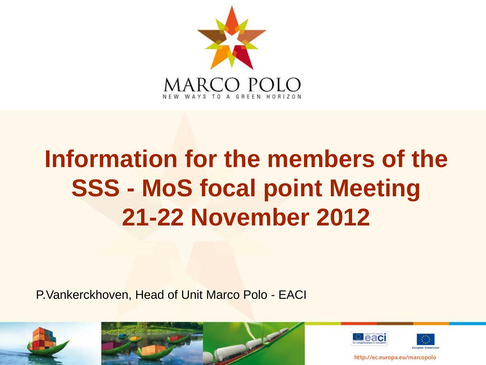

# **Information for the members of the SSS - MoS focal point Meeting 21-22 November 2012**

P.Vankerckhoven, Head of Unit Marco Polo - EACI







http://ec.europa.eu/marcopolo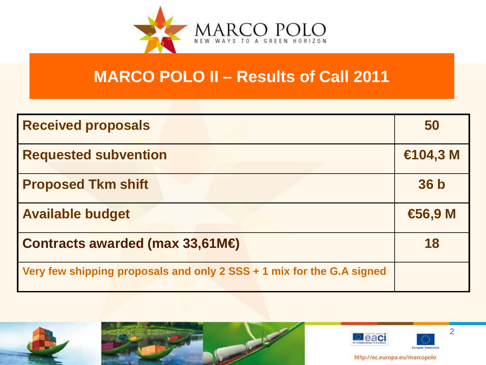

# **MARCO POLO II – Results of Call 2011**

| <b>Received proposals</b>                                             | 50                |
|-----------------------------------------------------------------------|-------------------|
| <b>Requested subvention</b>                                           | €104,3 M          |
| <b>Proposed Tkm shift</b>                                             | 36 <sub>b</sub>   |
| <b>Available budget</b>                                               | $\bigoplus$ 6,9 M |
| Contracts awarded (max $33,61M \oplus$                                | 18                |
| Very few shipping proposals and only 2 SSS + 1 mix for the G.A signed |                   |







2

http://ec.europa.eu/marcopolo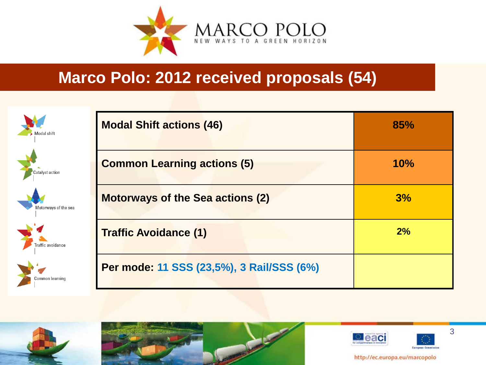

### **Marco Polo: 2012 received proposals (54)**

| Modal shift          | <b>Modal Shift actions (46)</b>           | 85% |
|----------------------|-------------------------------------------|-----|
| Catalyst action      | <b>Common Learning actions (5)</b>        | 10% |
| Motorways of the sea | <b>Motorways of the Sea actions (2)</b>   | 3%  |
| Traffic avoidance    | <b>Traffic Avoidance (1)</b>              | 2%  |
| Common learning      | Per mode: 11 SSS (23,5%), 3 Rail/SSS (6%) |     |









3

http://ec.europa.eu/marcopolo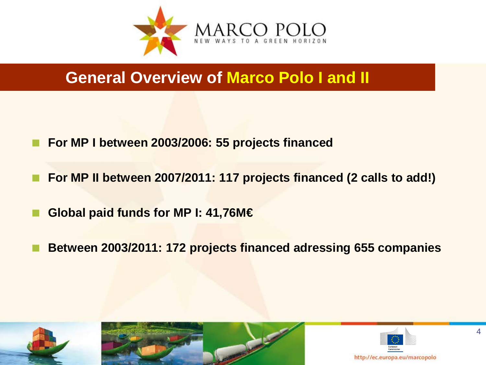

### **General Overview of Marco Polo I and II**

- **For MP I between 2003/2006: 55 projects financed**
- **For MP II between 2007/2011: 117 projects financed (2 calls to add!)**
- **Global paid funds for MP I: 41,76M€**
- **Between 2003/2011: 172 projects financed adressing 655 companies**







4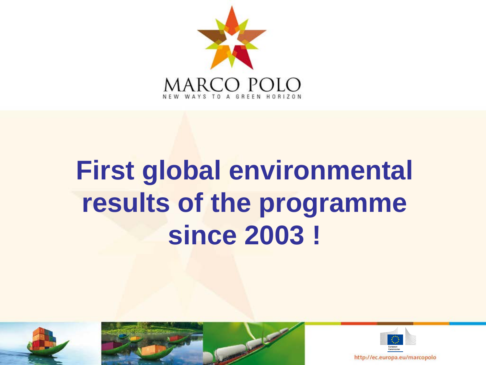

# **First global environmental results of the programme since 2003 !**





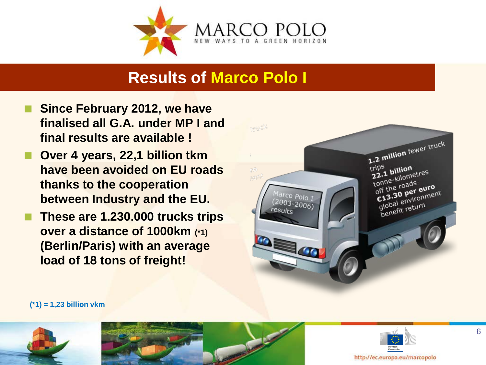

#### **Results of Marco Polo I**

- **Since February 2012, we have finalised all G.A. under MP I and final results are available !**
- **Over 4 years, 22,1 billion tkm have been avoided on EU roads thanks to the cooperation between Industry and the EU.**
- **These are 1.230.000 trucks trips over a distance of 1000km (\*1) (Berlin/Paris) with an average load of 18 tons of freight!**



**(\*1) = 1,23 billion vkm**





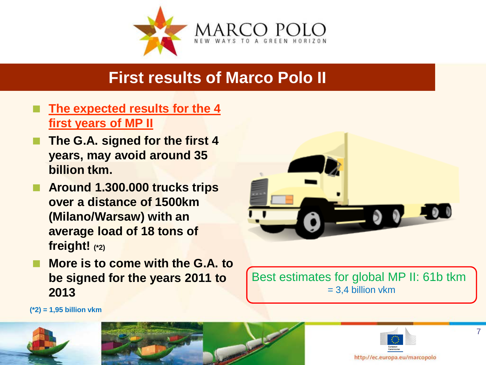

## **First results of Marco Polo II**

- **The expected results for the 4 first years of MP II**
- **The G.A. signed for the first 4 years, may avoid around 35 billion tkm.**
- **Around 1.300.000 trucks trips over a distance of 1500km (Milano/Warsaw) with an average load of 18 tons of freight! (\*2)**
- **More is to come with the G.A. to be signed for the years 2011 to 2013**



Best estimates for global MP II: 61b tkm  $= 3.4$  billion vkm

**(\*2) = 1,95 billion vkm**





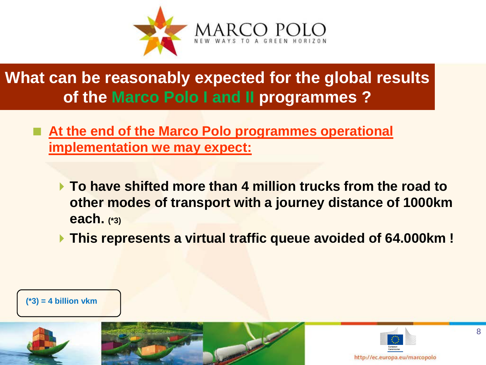

# **What can be reasonably expected for the global results of the Marco Polo I and II programmes ?**

- **At the end of the Marco Polo programmes operational implementation we may expect:**
	- **To have shifted more than 4 million trucks from the road to other modes of transport with a journey distance of 1000km each. (\*3)**
	- **This represents a virtual traffic queue avoided of 64.000km !**



**(\*3) = 4 billion vkm**



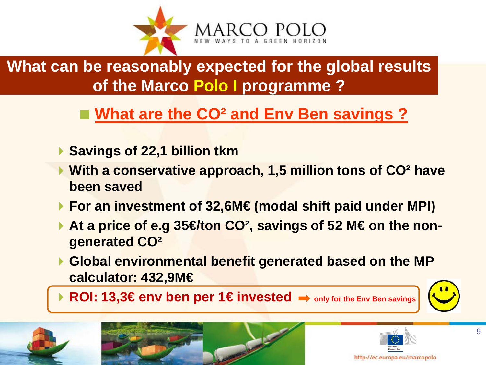

**What can be reasonably expected for the global results of the Marco Polo I programme ?**

# ■ What are the CO<sup>2</sup> and Env Ben savings ?

- **▶ Savings of 22,1 billion tkm**
- **With a conservative approach, 1,5 million tons of CO² have been saved**
- **For an investment of 32,6M€ (modal shift paid under MPI)**
- **At a price of e.g 35 € ton CO<sup>2</sup>, savings of 52 M € on the nongenerated CO²**
- **Global environmental benefit generated based on the MP calculator: 432,9M€**

**ROI: 13,3€env ben per 1€ invested**  $\rightarrow$  **only for the Env Ben savings** 







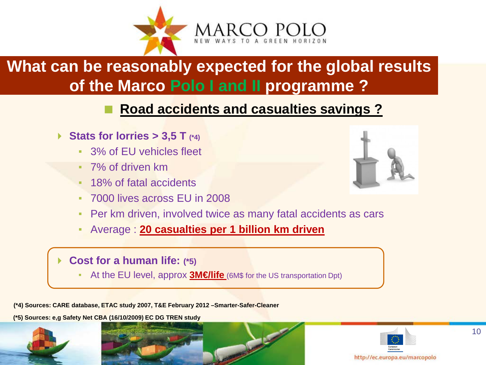

# **What can be reasonably expected for the global results of the Marco Polo I and II programme ?**

#### **Road accidents and casualties savings ?**

- **▶ Stats for lorries > 3,5 T (\*4)** 
	- 3% of EU vehicles fleet
	- 7% of driven km
	- 18% of fatal accidents
	- 7000 lives across EU in 2008
	- Per km driven, involved twice as many fatal accidents as cars
	- Average : **20 casualties per 1 billion km driven**
	- **Cost for a human life: (\*5)**
		- At the EU level, approx **3M€life** (6M\$ for the US transportation Dpt)

**(\*4) Sources: CARE database, ETAC study 2007, T&E February 2012 –Smarter-Safer-Cleaner**

**(\*5) Sources: e,g Safety Net CBA (16/10/2009) EC DG TREN study**







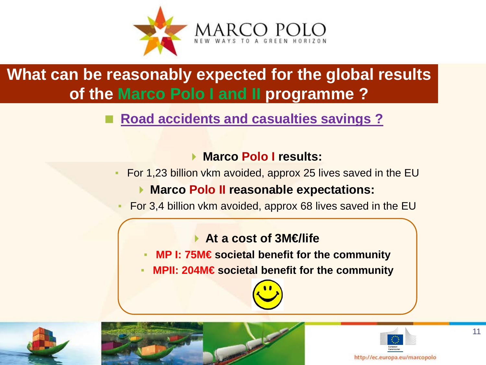

# **What can be reasonably expected for the global results of the Marco Polo I and II programme ?**

#### **Road accidents and casualties savings ?**

#### **Marco Polo I results:**

For 1,23 billion vkm avoided, approx 25 lives saved in the EU

#### **Marco Polo II reasonable expectations:**

For 3,4 billion vkm avoided, approx 68 lives saved in the EU

#### **At a cost of 3M€/life**

- **MP I: 75M€ societal benefit for the community**
- **MPII: 204M€** societal benefit for the community







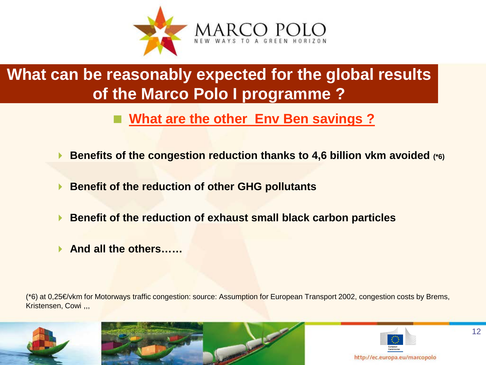

# **What can be reasonably expected for the global results of the Marco Polo I programme ?**

#### **What are the other Env Ben savings ?**

- **Benefits of the congestion reduction thanks to 4,6 billion vkm avoided (\*6)**
- **Benefit of the reduction of other GHG pollutants**
- **Benefit of the reduction of exhaust small black carbon particles**
- **And all the others……**

(\*6) at 0,25€/vkm for Motorways traffic congestion: source: Assumption for European Transport 2002, congestion costs by Brems, Kristensen, Cowi ,,,





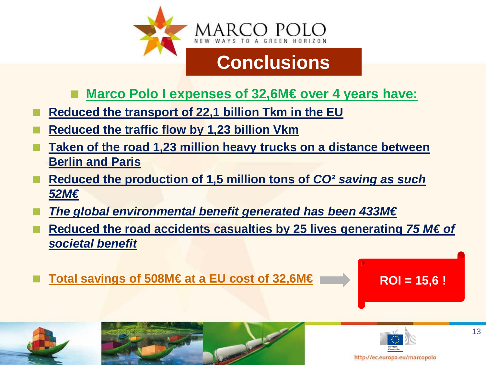

#### **Marco Polo I expenses of 32,6M€ over 4 years have:**

- **Reduced the transport of 22,1 billion Tkm in the EU**
- **Reduced the traffic flow by 1,23 billion Vkm**
- **Taken of the road 1,23 million heavy trucks on a distance between Berlin and Paris**
- **Reduced the production of 1,5 million tons of** *CO² saving as such 52M€*
- *The global environmental benefit generated has been 433M€*
- **Reduced the road accidents casualties by 25 lives generating** *75 M€ of societal benefit*
- Total savings of 508M€ at a EU cost of 32,6M€ **ROI** = 15,6 !







13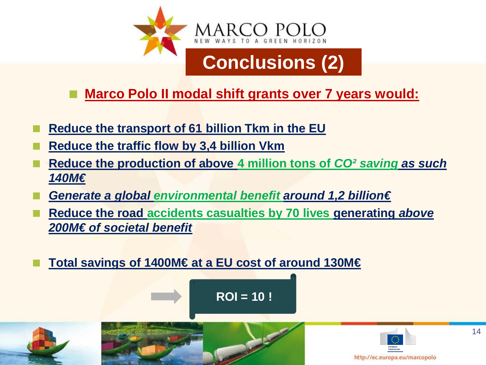

**Marco Polo II modal shift grants over 7 years would:**

- **Reduce the transport of 61 billion Tkm in the EU**
- **Reduce the traffic flow by 3,4 billion Vkm**
- **Reduce the production of above 4 million tons of** *CO² saving as such 140M€*
- *Generate a global environmental benefit around 1,2 billion€*
- **Reduce the road accidents casualties by 70 lives generating** *above 200M€ of societal benefit*
- **Total savings of 1400M€ at a EU cost of around 130M€**